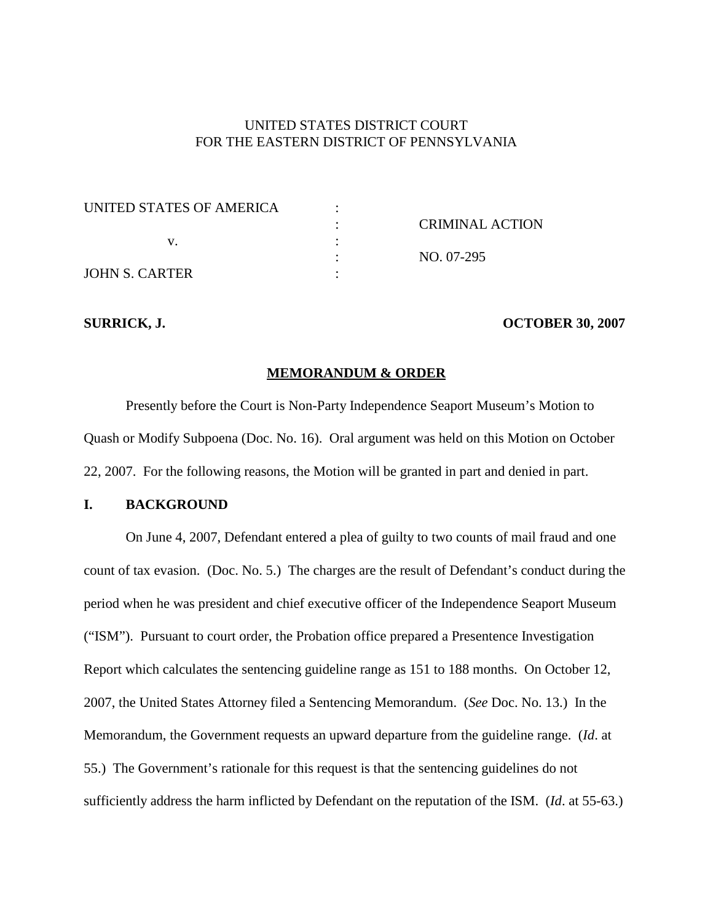# UNITED STATES DISTRICT COURT FOR THE EASTERN DISTRICT OF PENNSYLVANIA

| UNITED STATES OF AMERICA |                        |
|--------------------------|------------------------|
|                          | <b>CRIMINAL ACTION</b> |
|                          |                        |
|                          | NO. 07-295             |
| <b>JOHN S. CARTER</b>    |                        |

#### **SURRICK, J. OCTOBER 30, 2007**

#### **MEMORANDUM & ORDER**

Presently before the Court is Non-Party Independence Seaport Museum's Motion to Quash or Modify Subpoena (Doc. No. 16). Oral argument was held on this Motion on October 22, 2007. For the following reasons, the Motion will be granted in part and denied in part.

#### **I. BACKGROUND**

On June 4, 2007, Defendant entered a plea of guilty to two counts of mail fraud and one count of tax evasion. (Doc. No. 5.) The charges are the result of Defendant's conduct during the period when he was president and chief executive officer of the Independence Seaport Museum ("ISM"). Pursuant to court order, the Probation office prepared a Presentence Investigation Report which calculates the sentencing guideline range as 151 to 188 months. On October 12, 2007, the United States Attorney filed a Sentencing Memorandum. (*See* Doc. No. 13.) In the Memorandum, the Government requests an upward departure from the guideline range. (*Id*. at 55.) The Government's rationale for this request is that the sentencing guidelines do not sufficiently address the harm inflicted by Defendant on the reputation of the ISM. (*Id*. at 55-63.)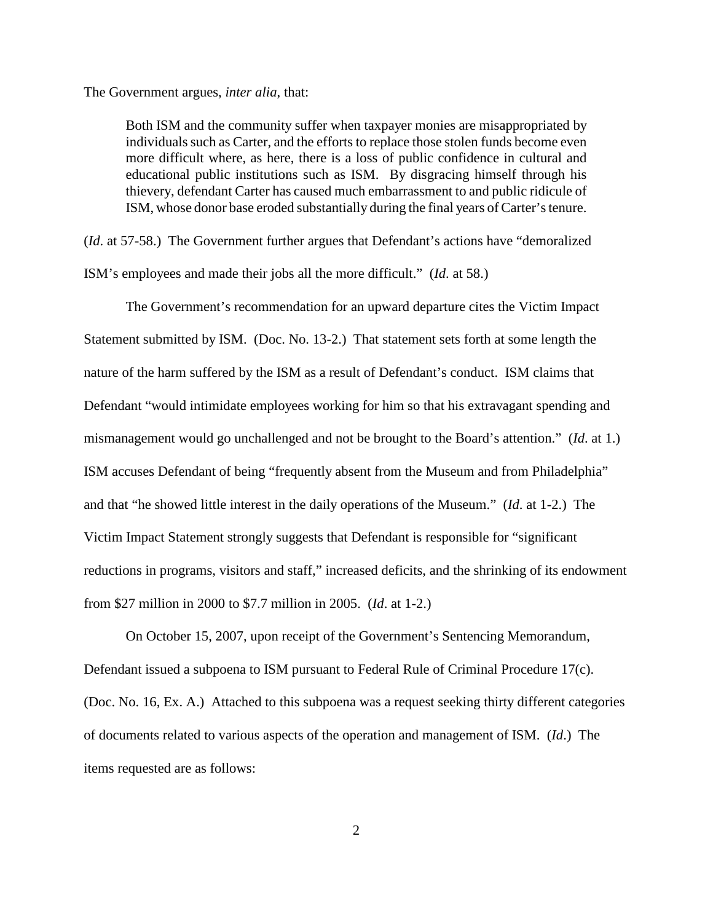The Government argues, *inter alia*, that:

Both ISM and the community suffer when taxpayer monies are misappropriated by individuals such as Carter, and the efforts to replace those stolen funds become even more difficult where, as here, there is a loss of public confidence in cultural and educational public institutions such as ISM. By disgracing himself through his thievery, defendant Carter has caused much embarrassment to and public ridicule of ISM, whose donor base eroded substantially during the final years of Carter'stenure.

(*Id*. at 57-58.) The Government further argues that Defendant's actions have "demoralized ISM's employees and made their jobs all the more difficult." (*Id*. at 58.)

The Government's recommendation for an upward departure cites the Victim Impact Statement submitted by ISM. (Doc. No. 13-2.) That statement sets forth at some length the nature of the harm suffered by the ISM as a result of Defendant's conduct. ISM claims that Defendant "would intimidate employees working for him so that his extravagant spending and mismanagement would go unchallenged and not be brought to the Board's attention." (*Id*. at 1.) ISM accuses Defendant of being "frequently absent from the Museum and from Philadelphia" and that "he showed little interest in the daily operations of the Museum." (*Id*. at 1-2.) The Victim Impact Statement strongly suggests that Defendant is responsible for "significant reductions in programs, visitors and staff," increased deficits, and the shrinking of its endowment from \$27 million in 2000 to \$7.7 million in 2005. (*Id*. at 1-2.)

On October 15, 2007, upon receipt of the Government's Sentencing Memorandum, Defendant issued a subpoena to ISM pursuant to Federal Rule of Criminal Procedure 17(c). (Doc. No. 16, Ex. A.) Attached to this subpoena was a request seeking thirty different categories of documents related to various aspects of the operation and management of ISM. (*Id*.) The items requested are as follows: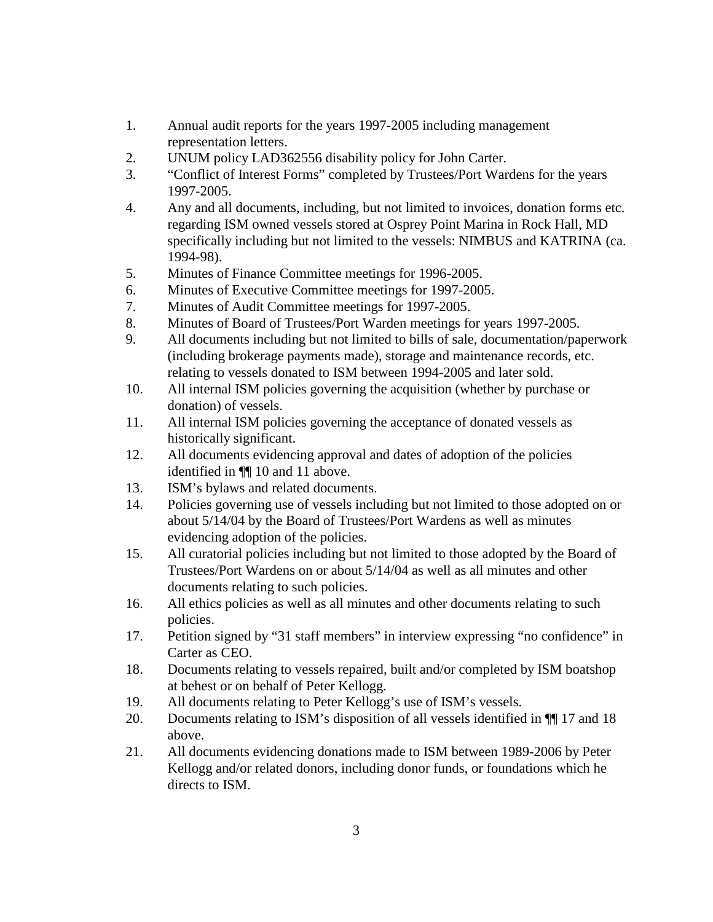- 1. Annual audit reports for the years 1997-2005 including management representation letters.
- 2. UNUM policy LAD362556 disability policy for John Carter.
- 3. "Conflict of Interest Forms" completed by Trustees/Port Wardens for the years 1997-2005.
- 4. Any and all documents, including, but not limited to invoices, donation forms etc. regarding ISM owned vessels stored at Osprey Point Marina in Rock Hall, MD specifically including but not limited to the vessels: NIMBUS and KATRINA (ca. 1994-98).
- 5. Minutes of Finance Committee meetings for 1996-2005.
- 6. Minutes of Executive Committee meetings for 1997-2005.
- 7. Minutes of Audit Committee meetings for 1997-2005.
- 8. Minutes of Board of Trustees/Port Warden meetings for years 1997-2005.
- 9. All documents including but not limited to bills of sale, documentation/paperwork (including brokerage payments made), storage and maintenance records, etc. relating to vessels donated to ISM between 1994-2005 and later sold.
- 10. All internal ISM policies governing the acquisition (whether by purchase or donation) of vessels.
- 11. All internal ISM policies governing the acceptance of donated vessels as historically significant.
- 12. All documents evidencing approval and dates of adoption of the policies identified in ¶¶ 10 and 11 above.
- 13. ISM's bylaws and related documents.
- 14. Policies governing use of vessels including but not limited to those adopted on or about 5/14/04 by the Board of Trustees/Port Wardens as well as minutes evidencing adoption of the policies.
- 15. All curatorial policies including but not limited to those adopted by the Board of Trustees/Port Wardens on or about 5/14/04 as well as all minutes and other documents relating to such policies.
- 16. All ethics policies as well as all minutes and other documents relating to such policies.
- 17. Petition signed by "31 staff members" in interview expressing "no confidence" in Carter as CEO.
- 18. Documents relating to vessels repaired, built and/or completed by ISM boatshop at behest or on behalf of Peter Kellogg.
- 19. All documents relating to Peter Kellogg's use of ISM's vessels.
- 20. Documents relating to ISM's disposition of all vessels identified in ¶¶ 17 and 18 above.
- 21. All documents evidencing donations made to ISM between 1989-2006 by Peter Kellogg and/or related donors, including donor funds, or foundations which he directs to ISM.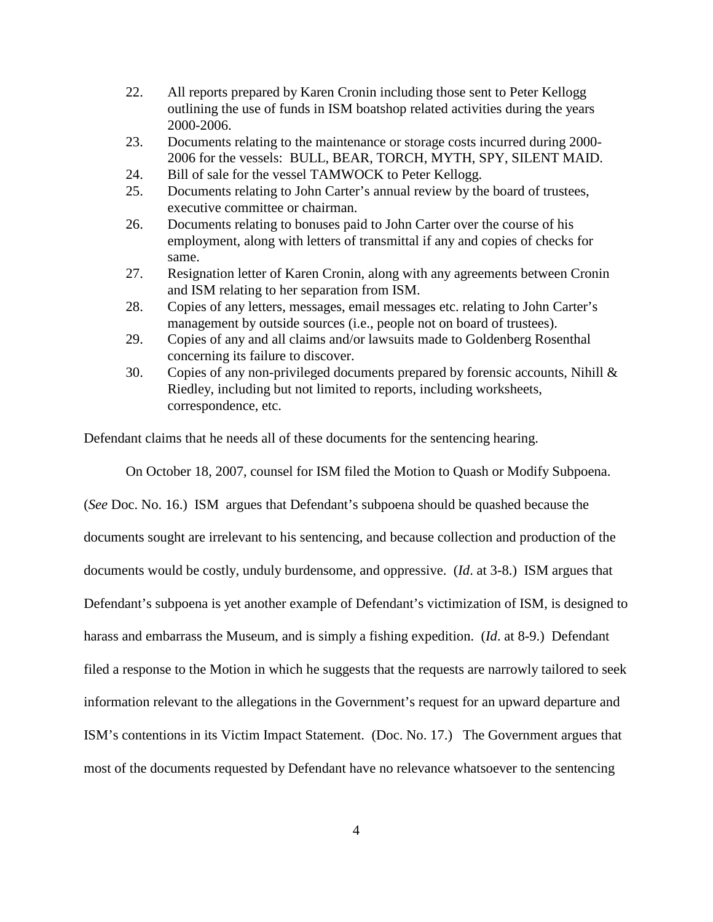- 22. All reports prepared by Karen Cronin including those sent to Peter Kellogg outlining the use of funds in ISM boatshop related activities during the years 2000-2006.
- 23. Documents relating to the maintenance or storage costs incurred during 2000- 2006 for the vessels: BULL, BEAR, TORCH, MYTH, SPY, SILENT MAID.
- 24. Bill of sale for the vessel TAMWOCK to Peter Kellogg.
- 25. Documents relating to John Carter's annual review by the board of trustees, executive committee or chairman.
- 26. Documents relating to bonuses paid to John Carter over the course of his employment, along with letters of transmittal if any and copies of checks for same.
- 27. Resignation letter of Karen Cronin, along with any agreements between Cronin and ISM relating to her separation from ISM.
- 28. Copies of any letters, messages, email messages etc. relating to John Carter's management by outside sources (i.e., people not on board of trustees).
- 29. Copies of any and all claims and/or lawsuits made to Goldenberg Rosenthal concerning its failure to discover.
- 30. Copies of any non-privileged documents prepared by forensic accounts, Nihill & Riedley, including but not limited to reports, including worksheets, correspondence, etc.

Defendant claims that he needs all of these documents for the sentencing hearing.

On October 18, 2007, counsel for ISM filed the Motion to Quash or Modify Subpoena.

(*See* Doc. No. 16.) ISM argues that Defendant's subpoena should be quashed because the documents sought are irrelevant to his sentencing, and because collection and production of the documents would be costly, unduly burdensome, and oppressive. (*Id*. at 3-8.) ISM argues that Defendant's subpoena is yet another example of Defendant's victimization of ISM, is designed to harass and embarrass the Museum, and is simply a fishing expedition. (*Id*. at 8-9.) Defendant filed a response to the Motion in which he suggests that the requests are narrowly tailored to seek information relevant to the allegations in the Government's request for an upward departure and ISM's contentions in its Victim Impact Statement. (Doc. No. 17.) The Government argues that most of the documents requested by Defendant have no relevance whatsoever to the sentencing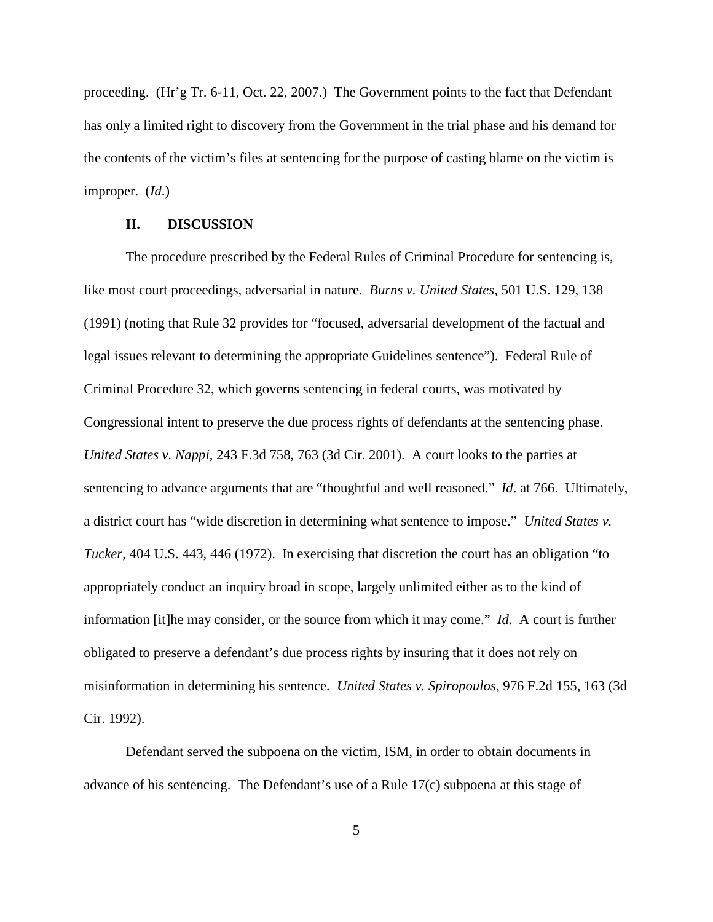proceeding. (Hr'g Tr. 6-11, Oct. 22, 2007.) The Government points to the fact that Defendant has only a limited right to discovery from the Government in the trial phase and his demand for the contents of the victim's files at sentencing for the purpose of casting blame on the victim is improper. (*Id*.)

#### **II. DISCUSSION**

The procedure prescribed by the Federal Rules of Criminal Procedure for sentencing is, like most court proceedings, adversarial in nature. *Burns v. United States*, 501 U.S. 129, 138 (1991) (noting that Rule 32 provides for "focused, adversarial development of the factual and legal issues relevant to determining the appropriate Guidelines sentence"). Federal Rule of Criminal Procedure 32, which governs sentencing in federal courts, was motivated by Congressional intent to preserve the due process rights of defendants at the sentencing phase. *United States v. Nappi*, 243 F.3d 758, 763 (3d Cir. 2001). A court looks to the parties at sentencing to advance arguments that are "thoughtful and well reasoned." *Id*. at 766. Ultimately, a district court has "wide discretion in determining what sentence to impose." *United States v. Tucker*, 404 U.S. 443, 446 (1972). In exercising that discretion the court has an obligation "to appropriately conduct an inquiry broad in scope, largely unlimited either as to the kind of information [it]he may consider, or the source from which it may come." *Id*. A court is further obligated to preserve a defendant's due process rights by insuring that it does not rely on misinformation in determining his sentence. *United States v. Spiropoulos*, 976 F.2d 155, 163 (3d Cir. 1992).

Defendant served the subpoena on the victim, ISM, in order to obtain documents in advance of his sentencing. The Defendant's use of a Rule 17(c) subpoena at this stage of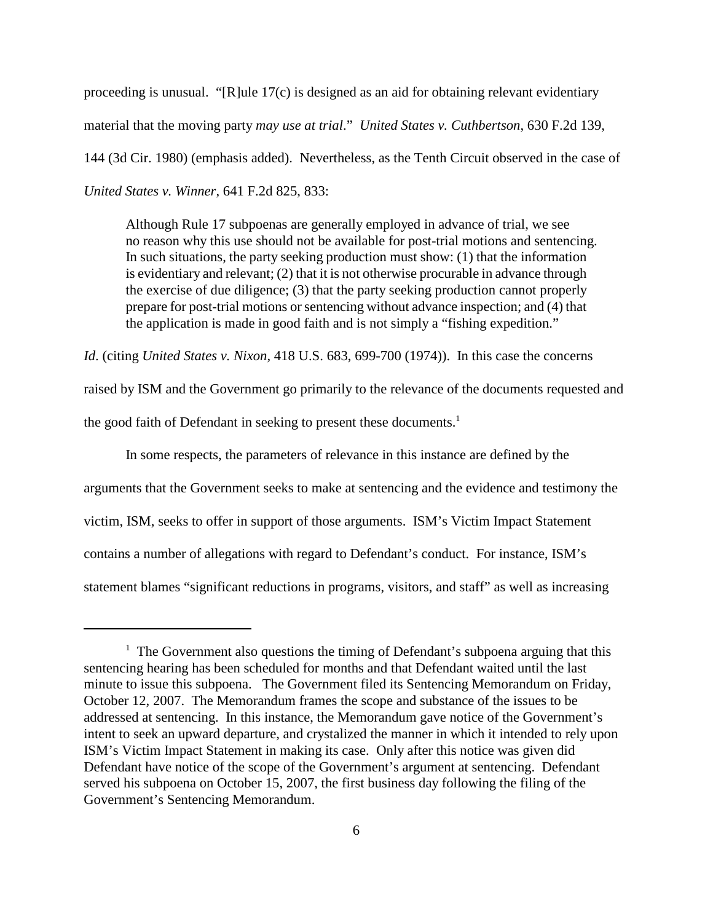proceeding is unusual. "[R]ule 17(c) is designed as an aid for obtaining relevant evidentiary material that the moving party *may use at trial*." *United States v. Cuthbertson*, 630 F.2d 139, 144 (3d Cir. 1980) (emphasis added). Nevertheless, as the Tenth Circuit observed in the case of *United States v. Winner*, 641 F.2d 825, 833:

Although Rule 17 subpoenas are generally employed in advance of trial, we see no reason why this use should not be available for post-trial motions and sentencing. In such situations, the party seeking production must show: (1) that the information is evidentiary and relevant; (2) that it is not otherwise procurable in advance through the exercise of due diligence; (3) that the party seeking production cannot properly prepare for post-trial motions or sentencing without advance inspection; and (4) that the application is made in good faith and is not simply a "fishing expedition."

*Id*. (citing *United States v. Nixon*, 418 U.S. 683, 699-700 (1974)). In this case the concerns raised by ISM and the Government go primarily to the relevance of the documents requested and the good faith of Defendant in seeking to present these documents.<sup>1</sup>

In some respects, the parameters of relevance in this instance are defined by the arguments that the Government seeks to make at sentencing and the evidence and testimony the victim, ISM, seeks to offer in support of those arguments. ISM's Victim Impact Statement contains a number of allegations with regard to Defendant's conduct. For instance, ISM's statement blames "significant reductions in programs, visitors, and staff" as well as increasing

 $1$  The Government also questions the timing of Defendant's subpoena arguing that this sentencing hearing has been scheduled for months and that Defendant waited until the last minute to issue this subpoena. The Government filed its Sentencing Memorandum on Friday, October 12, 2007. The Memorandum frames the scope and substance of the issues to be addressed at sentencing. In this instance, the Memorandum gave notice of the Government's intent to seek an upward departure, and crystalized the manner in which it intended to rely upon ISM's Victim Impact Statement in making its case. Only after this notice was given did Defendant have notice of the scope of the Government's argument at sentencing. Defendant served his subpoena on October 15, 2007, the first business day following the filing of the Government's Sentencing Memorandum.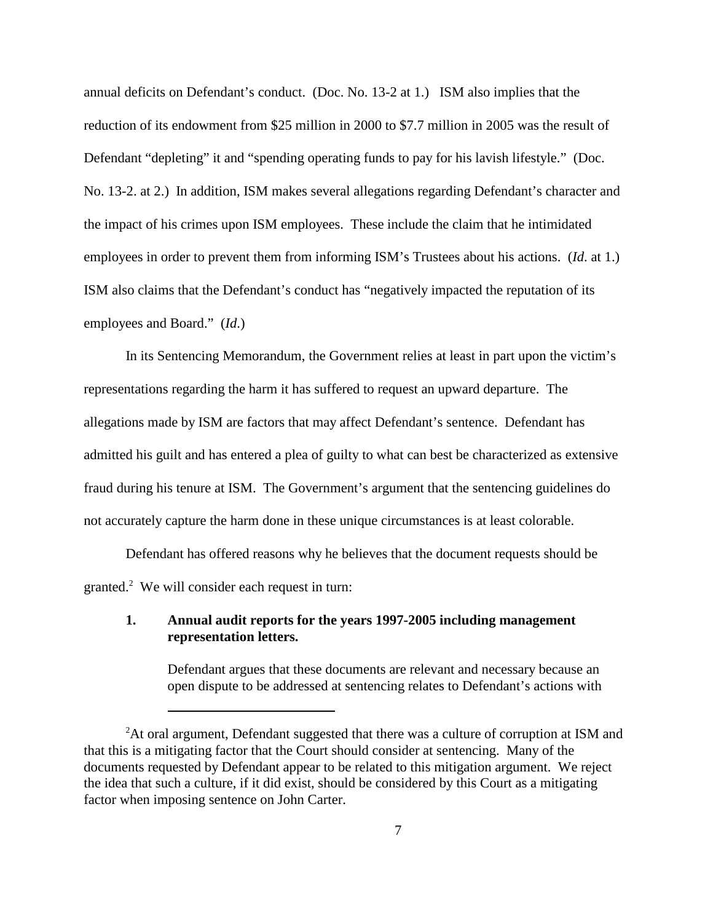annual deficits on Defendant's conduct. (Doc. No. 13-2 at 1.) ISM also implies that the reduction of its endowment from \$25 million in 2000 to \$7.7 million in 2005 was the result of Defendant "depleting" it and "spending operating funds to pay for his lavish lifestyle." (Doc. No. 13-2. at 2.) In addition, ISM makes several allegations regarding Defendant's character and the impact of his crimes upon ISM employees. These include the claim that he intimidated employees in order to prevent them from informing ISM's Trustees about his actions. (*Id*. at 1.) ISM also claims that the Defendant's conduct has "negatively impacted the reputation of its employees and Board." (*Id*.)

In its Sentencing Memorandum, the Government relies at least in part upon the victim's representations regarding the harm it has suffered to request an upward departure. The allegations made by ISM are factors that may affect Defendant's sentence. Defendant has admitted his guilt and has entered a plea of guilty to what can best be characterized as extensive fraud during his tenure at ISM. The Government's argument that the sentencing guidelines do not accurately capture the harm done in these unique circumstances is at least colorable.

Defendant has offered reasons why he believes that the document requests should be granted.<sup>2</sup> We will consider each request in turn:

#### **1. Annual audit reports for the years 1997-2005 including management representation letters.**

Defendant argues that these documents are relevant and necessary because an open dispute to be addressed at sentencing relates to Defendant's actions with

<sup>&</sup>lt;sup>2</sup>At oral argument, Defendant suggested that there was a culture of corruption at ISM and that this is a mitigating factor that the Court should consider at sentencing. Many of the documents requested by Defendant appear to be related to this mitigation argument. We reject the idea that such a culture, if it did exist, should be considered by this Court as a mitigating factor when imposing sentence on John Carter.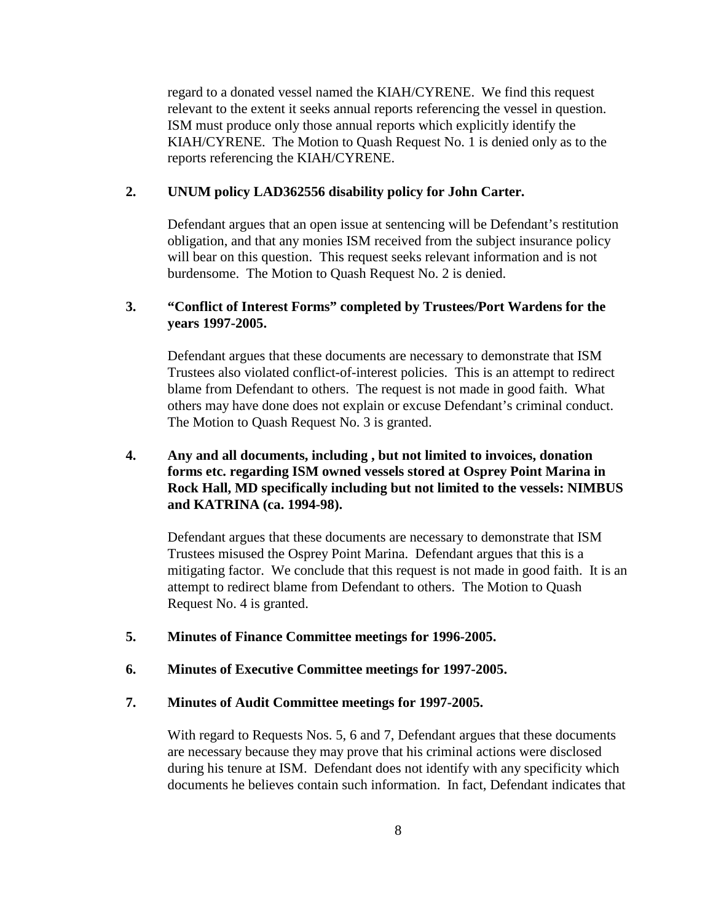regard to a donated vessel named the KIAH/CYRENE. We find this request relevant to the extent it seeks annual reports referencing the vessel in question. ISM must produce only those annual reports which explicitly identify the KIAH/CYRENE. The Motion to Quash Request No. 1 is denied only as to the reports referencing the KIAH/CYRENE.

### **2. UNUM policy LAD362556 disability policy for John Carter.**

Defendant argues that an open issue at sentencing will be Defendant's restitution obligation, and that any monies ISM received from the subject insurance policy will bear on this question. This request seeks relevant information and is not burdensome. The Motion to Quash Request No. 2 is denied.

# **3. "Conflict of Interest Forms" completed by Trustees/Port Wardens for the years 1997-2005.**

Defendant argues that these documents are necessary to demonstrate that ISM Trustees also violated conflict-of-interest policies. This is an attempt to redirect blame from Defendant to others. The request is not made in good faith. What others may have done does not explain or excuse Defendant's criminal conduct. The Motion to Quash Request No. 3 is granted.

# **4. Any and all documents, including , but not limited to invoices, donation forms etc. regarding ISM owned vessels stored at Osprey Point Marina in Rock Hall, MD specifically including but not limited to the vessels: NIMBUS and KATRINA (ca. 1994-98).**

Defendant argues that these documents are necessary to demonstrate that ISM Trustees misused the Osprey Point Marina. Defendant argues that this is a mitigating factor. We conclude that this request is not made in good faith. It is an attempt to redirect blame from Defendant to others. The Motion to Quash Request No. 4 is granted.

**5. Minutes of Finance Committee meetings for 1996-2005.**

### **6. Minutes of Executive Committee meetings for 1997-2005.**

#### **7. Minutes of Audit Committee meetings for 1997-2005.**

With regard to Requests Nos. 5, 6 and 7, Defendant argues that these documents are necessary because they may prove that his criminal actions were disclosed during his tenure at ISM. Defendant does not identify with any specificity which documents he believes contain such information. In fact, Defendant indicates that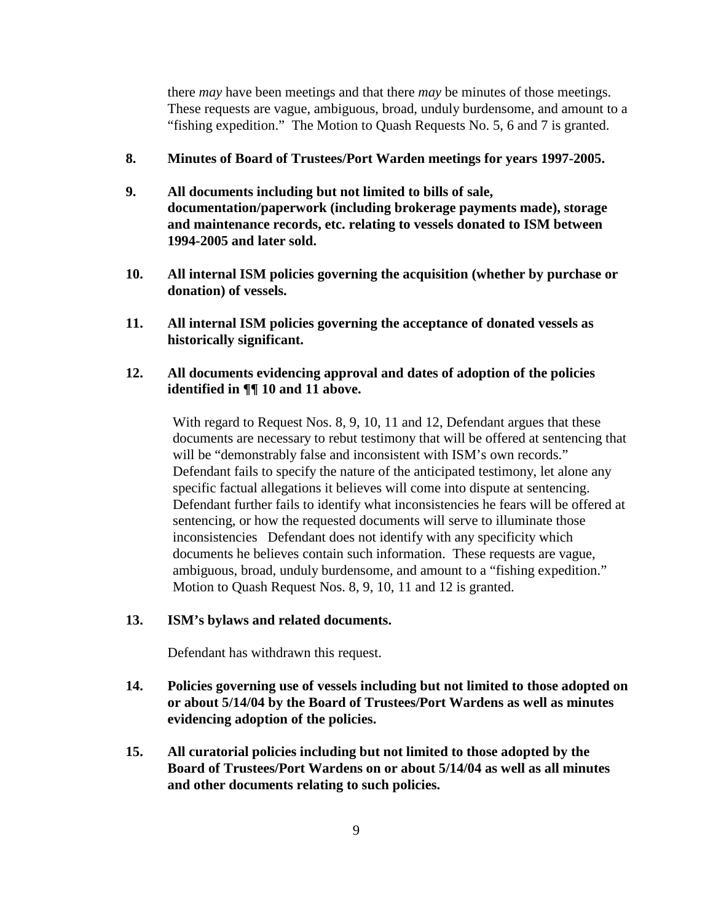there *may* have been meetings and that there *may* be minutes of those meetings. These requests are vague, ambiguous, broad, unduly burdensome, and amount to a "fishing expedition." The Motion to Quash Requests No. 5, 6 and 7 is granted.

#### **8. Minutes of Board of Trustees/Port Warden meetings for years 1997-2005.**

- **9. All documents including but not limited to bills of sale, documentation/paperwork (including brokerage payments made), storage and maintenance records, etc. relating to vessels donated to ISM between 1994-2005 and later sold.**
- **10. All internal ISM policies governing the acquisition (whether by purchase or donation) of vessels.**
- **11. All internal ISM policies governing the acceptance of donated vessels as historically significant.**

# **12. All documents evidencing approval and dates of adoption of the policies identified in ¶¶ 10 and 11 above.**

With regard to Request Nos. 8, 9, 10, 11 and 12, Defendant argues that these documents are necessary to rebut testimony that will be offered at sentencing that will be "demonstrably false and inconsistent with ISM's own records." Defendant fails to specify the nature of the anticipated testimony, let alone any specific factual allegations it believes will come into dispute at sentencing. Defendant further fails to identify what inconsistencies he fears will be offered at sentencing, or how the requested documents will serve to illuminate those inconsistencies Defendant does not identify with any specificity which documents he believes contain such information. These requests are vague, ambiguous, broad, unduly burdensome, and amount to a "fishing expedition." Motion to Quash Request Nos. 8, 9, 10, 11 and 12 is granted.

#### **13. ISM's bylaws and related documents.**

Defendant has withdrawn this request.

- **14. Policies governing use of vessels including but not limited to those adopted on or about 5/14/04 by the Board of Trustees/Port Wardens as well as minutes evidencing adoption of the policies.**
- **15. All curatorial policies including but not limited to those adopted by the Board of Trustees/Port Wardens on or about 5/14/04 as well as all minutes and other documents relating to such policies.**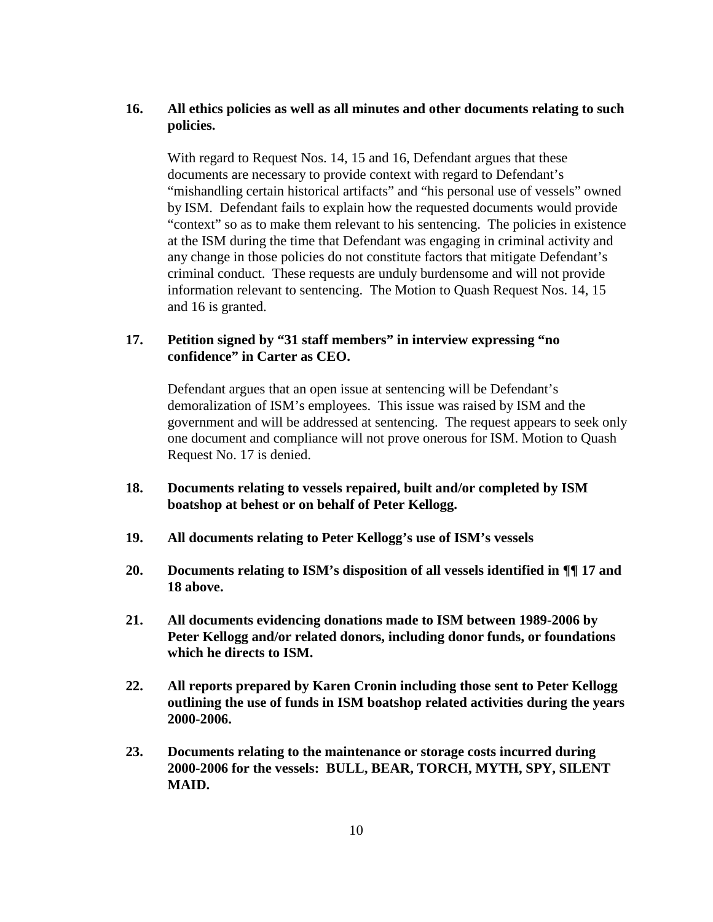## **16. All ethics policies as well as all minutes and other documents relating to such policies.**

With regard to Request Nos. 14, 15 and 16, Defendant argues that these documents are necessary to provide context with regard to Defendant's "mishandling certain historical artifacts" and "his personal use of vessels" owned by ISM. Defendant fails to explain how the requested documents would provide "context" so as to make them relevant to his sentencing. The policies in existence at the ISM during the time that Defendant was engaging in criminal activity and any change in those policies do not constitute factors that mitigate Defendant's criminal conduct. These requests are unduly burdensome and will not provide information relevant to sentencing. The Motion to Quash Request Nos. 14, 15 and 16 is granted.

### **17. Petition signed by "31 staff members" in interview expressing "no confidence" in Carter as CEO.**

Defendant argues that an open issue at sentencing will be Defendant's demoralization of ISM's employees. This issue was raised by ISM and the government and will be addressed at sentencing. The request appears to seek only one document and compliance will not prove onerous for ISM. Motion to Quash Request No. 17 is denied.

- **18. Documents relating to vessels repaired, built and/or completed by ISM boatshop at behest or on behalf of Peter Kellogg.**
- **19. All documents relating to Peter Kellogg's use of ISM's vessels**
- **20. Documents relating to ISM's disposition of all vessels identified in ¶¶ 17 and 18 above.**
- **21. All documents evidencing donations made to ISM between 1989-2006 by Peter Kellogg and/or related donors, including donor funds, or foundations which he directs to ISM.**
- **22. All reports prepared by Karen Cronin including those sent to Peter Kellogg outlining the use of funds in ISM boatshop related activities during the years 2000-2006.**
- **23. Documents relating to the maintenance or storage costs incurred during 2000-2006 for the vessels: BULL, BEAR, TORCH, MYTH, SPY, SILENT MAID.**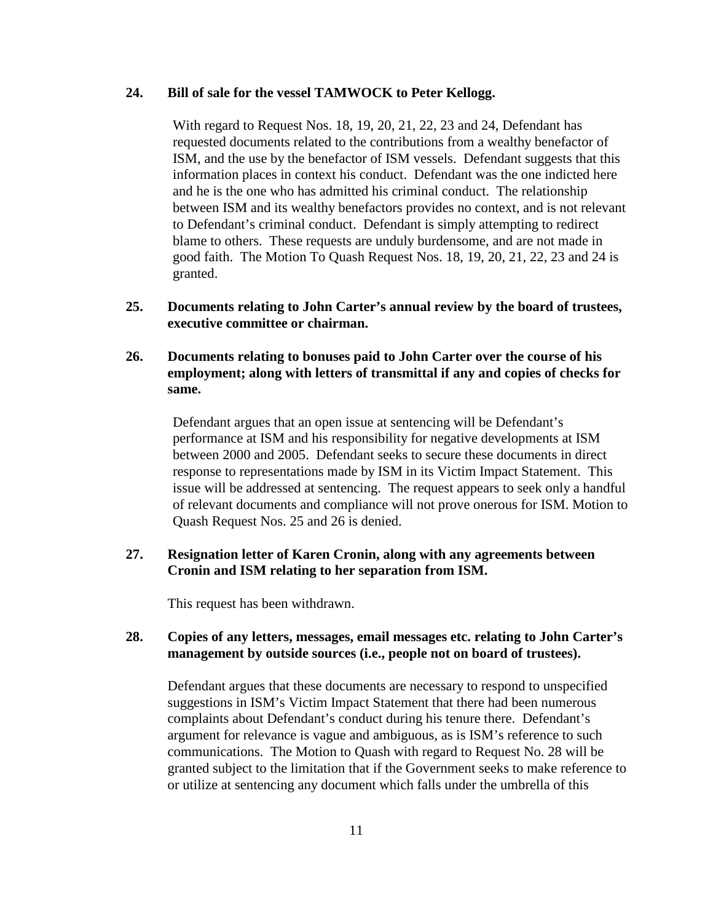### **24. Bill of sale for the vessel TAMWOCK to Peter Kellogg.**

With regard to Request Nos. 18, 19, 20, 21, 22, 23 and 24, Defendant has requested documents related to the contributions from a wealthy benefactor of ISM, and the use by the benefactor of ISM vessels. Defendant suggests that this information places in context his conduct. Defendant was the one indicted here and he is the one who has admitted his criminal conduct. The relationship between ISM and its wealthy benefactors provides no context, and is not relevant to Defendant's criminal conduct. Defendant is simply attempting to redirect blame to others. These requests are unduly burdensome, and are not made in good faith. The Motion To Quash Request Nos. 18, 19, 20, 21, 22, 23 and 24 is granted.

**25. Documents relating to John Carter's annual review by the board of trustees, executive committee or chairman.**

## **26. Documents relating to bonuses paid to John Carter over the course of his employment; along with letters of transmittal if any and copies of checks for same.**

Defendant argues that an open issue at sentencing will be Defendant's performance at ISM and his responsibility for negative developments at ISM between 2000 and 2005. Defendant seeks to secure these documents in direct response to representations made by ISM in its Victim Impact Statement. This issue will be addressed at sentencing. The request appears to seek only a handful of relevant documents and compliance will not prove onerous for ISM. Motion to Quash Request Nos. 25 and 26 is denied.

### **27. Resignation letter of Karen Cronin, along with any agreements between Cronin and ISM relating to her separation from ISM.**

This request has been withdrawn.

### **28. Copies of any letters, messages, email messages etc. relating to John Carter's management by outside sources (i.e., people not on board of trustees).**

Defendant argues that these documents are necessary to respond to unspecified suggestions in ISM's Victim Impact Statement that there had been numerous complaints about Defendant's conduct during his tenure there. Defendant's argument for relevance is vague and ambiguous, as is ISM's reference to such communications. The Motion to Quash with regard to Request No. 28 will be granted subject to the limitation that if the Government seeks to make reference to or utilize at sentencing any document which falls under the umbrella of this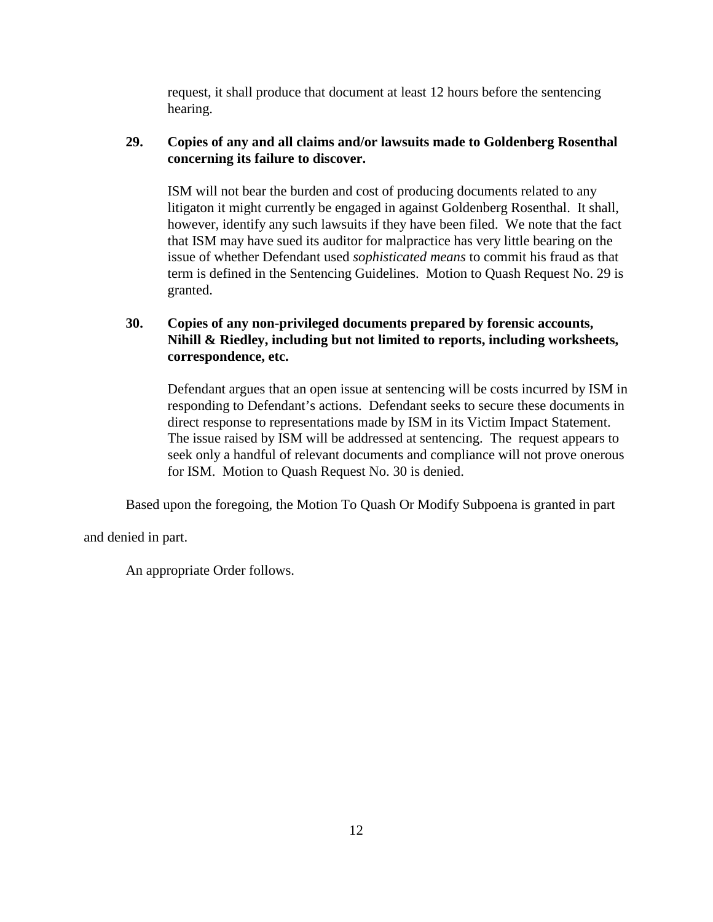request, it shall produce that document at least 12 hours before the sentencing hearing.

# **29. Copies of any and all claims and/or lawsuits made to Goldenberg Rosenthal concerning its failure to discover.**

ISM will not bear the burden and cost of producing documents related to any litigaton it might currently be engaged in against Goldenberg Rosenthal. It shall, however, identify any such lawsuits if they have been filed. We note that the fact that ISM may have sued its auditor for malpractice has very little bearing on the issue of whether Defendant used *sophisticated means* to commit his fraud as that term is defined in the Sentencing Guidelines. Motion to Quash Request No. 29 is granted.

# **30. Copies of any non-privileged documents prepared by forensic accounts, Nihill & Riedley, including but not limited to reports, including worksheets, correspondence, etc.**

Defendant argues that an open issue at sentencing will be costs incurred by ISM in responding to Defendant's actions. Defendant seeks to secure these documents in direct response to representations made by ISM in its Victim Impact Statement. The issue raised by ISM will be addressed at sentencing. The request appears to seek only a handful of relevant documents and compliance will not prove onerous for ISM. Motion to Quash Request No. 30 is denied.

Based upon the foregoing, the Motion To Quash Or Modify Subpoena is granted in part

and denied in part.

An appropriate Order follows.